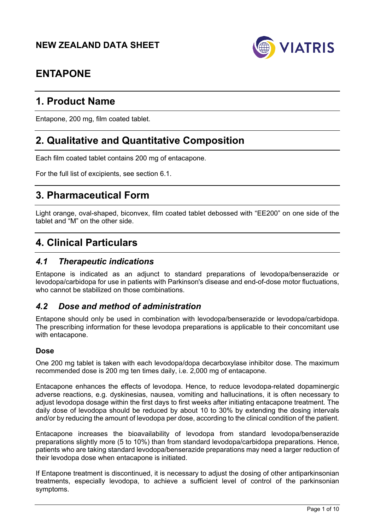

# **ENTAPONE**

# **1. Product Name**

Entapone, 200 mg, film coated tablet.

# **2. Qualitative and Quantitative Composition**

Each film coated tablet contains 200 mg of entacapone.

For the full list of excipients, see section 6.1.

# **3. Pharmaceutical Form**

Light orange, oval-shaped, biconvex, film coated tablet debossed with "EE200" on one side of the tablet and "M" on the other side.

# **4. Clinical Particulars**

## *4.1 Therapeutic indications*

Entapone is indicated as an adjunct to standard preparations of levodopa/benserazide or levodopa/carbidopa for use in patients with Parkinson's disease and end-of-dose motor fluctuations, who cannot be stabilized on those combinations.

## *4.2 Dose and method of administration*

Entapone should only be used in combination with levodopa/benserazide or levodopa/carbidopa. The prescribing information for these levodopa preparations is applicable to their concomitant use with entacapone.

#### **Dose**

One 200 mg tablet is taken with each levodopa/dopa decarboxylase inhibitor dose. The maximum recommended dose is 200 mg ten times daily, i.e. 2,000 mg of entacapone.

Entacapone enhances the effects of levodopa. Hence, to reduce levodopa-related dopaminergic adverse reactions, e.g. dyskinesias, nausea, vomiting and hallucinations, it is often necessary to adjust levodopa dosage within the first days to first weeks after initiating entacapone treatment. The daily dose of levodopa should be reduced by about 10 to 30% by extending the dosing intervals and/or by reducing the amount of levodopa per dose, according to the clinical condition of the patient.

Entacapone increases the bioavailability of levodopa from standard levodopa/benserazide preparations slightly more (5 to 10%) than from standard levodopa/carbidopa preparations. Hence, patients who are taking standard levodopa/benserazide preparations may need a larger reduction of their levodopa dose when entacapone is initiated.

If Entapone treatment is discontinued, it is necessary to adjust the dosing of other antiparkinsonian treatments, especially levodopa, to achieve a sufficient level of control of the parkinsonian symptoms.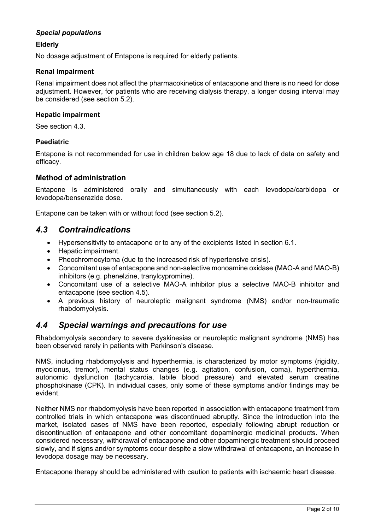### *Special populations*

### **Elderly**

No dosage adjustment of Entapone is required for elderly patients.

### **Renal impairment**

Renal impairment does not affect the pharmacokinetics of entacapone and there is no need for dose adjustment. However, for patients who are receiving dialysis therapy, a longer dosing interval may be considered (see section 5.2).

#### **Hepatic impairment**

See section 4.3.

### **Paediatric**

Entapone is not recommended for use in children below age 18 due to lack of data on safety and efficacy.

### **Method of administration**

Entapone is administered orally and simultaneously with each levodopa/carbidopa or levodopa/benserazide dose.

Entapone can be taken with or without food (see section 5.2).

## *4.3 Contraindications*

- Hypersensitivity to entacapone or to any of the excipients listed in section 6.1.
- Hepatic impairment.
- Pheochromocytoma (due to the increased risk of hypertensive crisis).
- Concomitant use of entacapone and non-selective monoamine oxidase (MAO-A and MAO-B) inhibitors (e.g. phenelzine, tranylcypromine).
- Concomitant use of a selective MAO-A inhibitor plus a selective MAO-B inhibitor and entacapone (see section 4.5).
- A previous history of neuroleptic malignant syndrome (NMS) and/or non-traumatic rhabdomyolysis.

## *4.4 Special warnings and precautions for use*

Rhabdomyolysis secondary to severe dyskinesias or neuroleptic malignant syndrome (NMS) has been observed rarely in patients with Parkinson's disease.

NMS, including rhabdomyolysis and hyperthermia, is characterized by motor symptoms (rigidity, myoclonus, tremor), mental status changes (e.g. agitation, confusion, coma), hyperthermia, autonomic dysfunction (tachycardia, labile blood pressure) and elevated serum creatine phosphokinase (CPK). In individual cases, only some of these symptoms and/or findings may be evident.

Neither NMS nor rhabdomyolysis have been reported in association with entacapone treatment from controlled trials in which entacapone was discontinued abruptly. Since the introduction into the market, isolated cases of NMS have been reported, especially following abrupt reduction or discontinuation of entacapone and other concomitant dopaminergic medicinal products. When considered necessary, withdrawal of entacapone and other dopaminergic treatment should proceed slowly, and if signs and/or symptoms occur despite a slow withdrawal of entacapone, an increase in levodopa dosage may be necessary.

Entacapone therapy should be administered with caution to patients with ischaemic heart disease.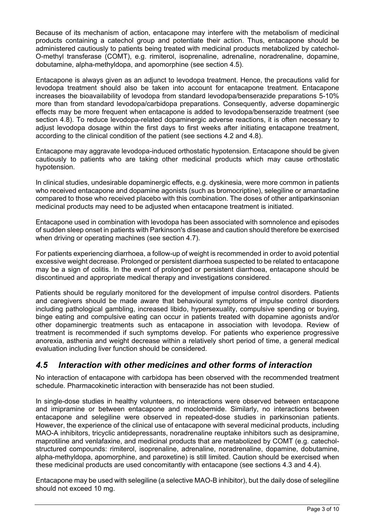Because of its mechanism of action, entacapone may interfere with the metabolism of medicinal products containing a catechol group and potentiate their action. Thus, entacapone should be administered cautiously to patients being treated with medicinal products metabolized by catechol-O-methyl transferase (COMT), e.g. rimiterol, isoprenaline, adrenaline, noradrenaline, dopamine, dobutamine, alpha-methyldopa, and apomorphine (see section 4.5).

Entacapone is always given as an adjunct to levodopa treatment. Hence, the precautions valid for levodopa treatment should also be taken into account for entacapone treatment. Entacapone increases the bioavailability of levodopa from standard levodopa/benserazide preparations 5-10% more than from standard levodopa/carbidopa preparations. Consequently, adverse dopaminergic effects may be more frequent when entacapone is added to levodopa/benserazide treatment (see section 4.8). To reduce levodopa-related dopaminergic adverse reactions, it is often necessary to adjust levodopa dosage within the first days to first weeks after initiating entacapone treatment, according to the clinical condition of the patient (see sections 4.2 and 4.8).

Entacapone may aggravate levodopa-induced orthostatic hypotension. Entacapone should be given cautiously to patients who are taking other medicinal products which may cause orthostatic hypotension.

In clinical studies, undesirable dopaminergic effects, e.g. dyskinesia, were more common in patients who received entacapone and dopamine agonists (such as bromocriptine), selegiline or amantadine compared to those who received placebo with this combination. The doses of other antiparkinsonian medicinal products may need to be adjusted when entacapone treatment is initiated.

Entacapone used in combination with levodopa has been associated with somnolence and episodes of sudden sleep onset in patients with Parkinson's disease and caution should therefore be exercised when driving or operating machines (see section 4.7).

For patients experiencing diarrhoea, a follow-up of weight is recommended in order to avoid potential excessive weight decrease. Prolonged or persistent diarrhoea suspected to be related to entacapone may be a sign of colitis. In the event of prolonged or persistent diarrhoea, entacapone should be discontinued and appropriate medical therapy and investigations considered.

Patients should be regularly monitored for the development of impulse control disorders. Patients and caregivers should be made aware that behavioural symptoms of impulse control disorders including pathological gambling, increased libido, hypersexuality, compulsive spending or buying, binge eating and compulsive eating can occur in patients treated with dopamine agonists and/or other dopaminergic treatments such as entacapone in association with levodopa. Review of treatment is recommended if such symptoms develop. For patients who experience progressive anorexia, asthenia and weight decrease within a relatively short period of time, a general medical evaluation including liver function should be considered.

## *4.5 Interaction with other medicines and other forms of interaction*

No interaction of entacapone with carbidopa has been observed with the recommended treatment schedule. Pharmacokinetic interaction with benserazide has not been studied.

In single-dose studies in healthy volunteers, no interactions were observed between entacapone and imipramine or between entacapone and moclobemide. Similarly, no interactions between entacapone and selegiline were observed in repeated-dose studies in parkinsonian patients. However, the experience of the clinical use of entacapone with several medicinal products, including MAO-A inhibitors, tricyclic antidepressants, noradrenaline reuptake inhibitors such as desipramine, maprotiline and venlafaxine, and medicinal products that are metabolized by COMT (e.g. catecholstructured compounds: rimiterol, isoprenaline, adrenaline, noradrenaline, dopamine, dobutamine, alpha-methyldopa, apomorphine, and paroxetine) is still limited. Caution should be exercised when these medicinal products are used concomitantly with entacapone (see sections 4.3 and 4.4).

Entacapone may be used with selegiline (a selective MAO-B inhibitor), but the daily dose of selegiline should not exceed 10 mg.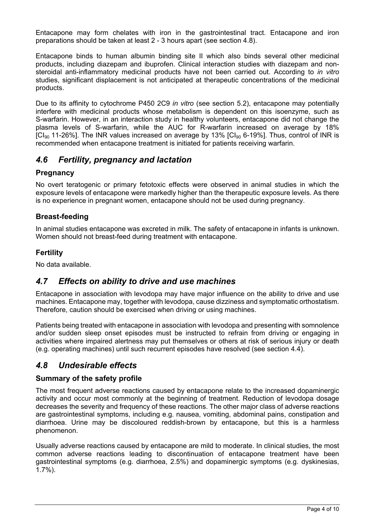Entacapone may form chelates with iron in the gastrointestinal tract. Entacapone and iron preparations should be taken at least 2 - 3 hours apart (see section 4.8).

Entacapone binds to human albumin binding site II which also binds several other medicinal products, including diazepam and ibuprofen. Clinical interaction studies with diazepam and nonsteroidal anti-inflammatory medicinal products have not been carried out. According to *in vitro* studies, significant displacement is not anticipated at therapeutic concentrations of the medicinal products.

Due to its affinity to cytochrome P450 2C9 *in vitro* (see section 5.2), entacapone may potentially interfere with medicinal products whose metabolism is dependent on this isoenzyme, such as S-warfarin. However, in an interaction study in healthy volunteers, entacapone did not change the plasma levels of S-warfarin, while the AUC for R-warfarin increased on average by 18%  $[Cl<sub>90</sub>$  11-26%]. The INR values increased on average by 13%  $[Cl<sub>90</sub>$  6-19%]. Thus, control of INR is recommended when entacapone treatment is initiated for patients receiving warfarin.

## *4.6 Fertility, pregnancy and lactation*

## **Pregnancy**

No overt teratogenic or primary fetotoxic effects were observed in animal studies in which the exposure levels of entacapone were markedly higher than the therapeutic exposure levels. As there is no experience in pregnant women, entacapone should not be used during pregnancy.

## **Breast-feeding**

In animal studies entacapone was excreted in milk. The safety of entacapone in infants is unknown. Women should not breast-feed during treatment with entacapone.

## **Fertility**

No data available.

## *4.7 Effects on ability to drive and use machines*

Entacapone in association with levodopa may have major influence on the ability to drive and use machines. Entacapone may, together with levodopa, cause dizziness and symptomatic orthostatism. Therefore, caution should be exercised when driving or using machines.

Patients being treated with entacapone in association with levodopa and presenting with somnolence and/or sudden sleep onset episodes must be instructed to refrain from driving or engaging in activities where impaired alertness may put themselves or others at risk of serious injury or death (e.g. operating machines) until such recurrent episodes have resolved (see section 4.4).

## *4.8 Undesirable effects*

### **Summary of the safety profile**

The most frequent adverse reactions caused by entacapone relate to the increased dopaminergic activity and occur most commonly at the beginning of treatment. Reduction of levodopa dosage decreases the severity and frequency of these reactions. The other major class of adverse reactions are gastrointestinal symptoms, including e.g. nausea, vomiting, abdominal pains, constipation and diarrhoea. Urine may be discoloured reddish-brown by entacapone, but this is a harmless phenomenon.

Usually adverse reactions caused by entacapone are mild to moderate. In clinical studies, the most common adverse reactions leading to discontinuation of entacapone treatment have been gastrointestinal symptoms (e.g. diarrhoea, 2.5%) and dopaminergic symptoms (e.g. dyskinesias, 1.7%).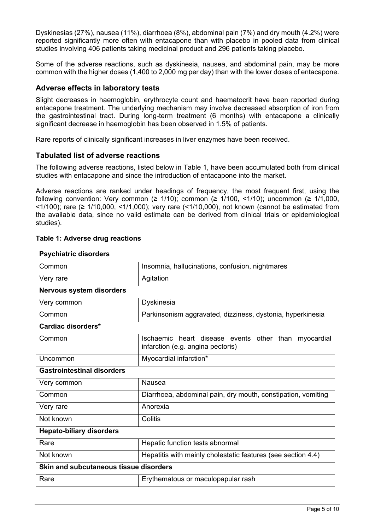Dyskinesias (27%), nausea (11%), diarrhoea (8%), abdominal pain (7%) and dry mouth (4.2%) were reported significantly more often with entacapone than with placebo in pooled data from clinical studies involving 406 patients taking medicinal product and 296 patients taking placebo.

Some of the adverse reactions, such as dyskinesia, nausea, and abdominal pain, may be more common with the higher doses (1,400 to 2,000 mg per day) than with the lower doses of entacapone.

### **Adverse effects in laboratory tests**

Slight decreases in haemoglobin, erythrocyte count and haematocrit have been reported during entacapone treatment. The underlying mechanism may involve decreased absorption of iron from the gastrointestinal tract. During long-term treatment (6 months) with entacapone a clinically significant decrease in haemoglobin has been observed in 1.5% of patients.

Rare reports of clinically significant increases in liver enzymes have been received.

#### **Tabulated list of adverse reactions**

The following adverse reactions, listed below in Table 1, have been accumulated both from clinical studies with entacapone and since the introduction of entacapone into the market.

Adverse reactions are ranked under headings of frequency, the most frequent first, using the following convention: Very common ( $\geq$  1/10); common ( $\geq$  1/100, <1/10); uncommon ( $\geq$  1/1,000,  $\leq$ 1/100); rare ( $\geq$  1/10,000,  $\leq$ 1/1,000); very rare ( $\leq$ 1/10,000), not known (cannot be estimated from the available data, since no valid estimate can be derived from clinical trials or epidemiological studies).

| Insomnia, hallucinations, confusion, nightmares                                           |  |  |
|-------------------------------------------------------------------------------------------|--|--|
| Agitation                                                                                 |  |  |
|                                                                                           |  |  |
| Dyskinesia                                                                                |  |  |
| Parkinsonism aggravated, dizziness, dystonia, hyperkinesia                                |  |  |
|                                                                                           |  |  |
| Ischaemic heart disease events other than myocardial<br>infarction (e.g. angina pectoris) |  |  |
| Myocardial infarction*                                                                    |  |  |
|                                                                                           |  |  |
| <b>Nausea</b>                                                                             |  |  |
| Diarrhoea, abdominal pain, dry mouth, constipation, vomiting                              |  |  |
| Anorexia                                                                                  |  |  |
| Colitis                                                                                   |  |  |
|                                                                                           |  |  |
| Hepatic function tests abnormal                                                           |  |  |
| Hepatitis with mainly cholestatic features (see section 4.4)                              |  |  |
| Skin and subcutaneous tissue disorders                                                    |  |  |
| Erythematous or maculopapular rash                                                        |  |  |
|                                                                                           |  |  |

#### **Table 1: Adverse drug reactions**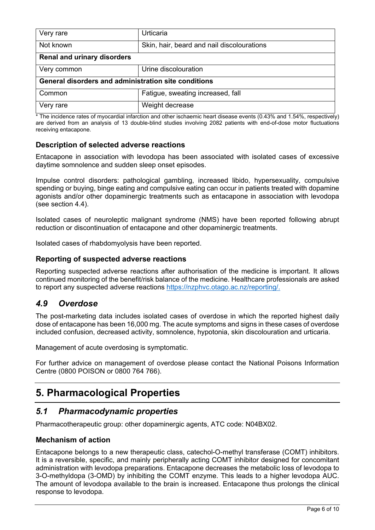| Very rare                                            | Urticaria                                  |  |  |
|------------------------------------------------------|--------------------------------------------|--|--|
| Not known                                            | Skin, hair, beard and nail discolourations |  |  |
| <b>Renal and urinary disorders</b>                   |                                            |  |  |
| Very common                                          | Urine discolouration                       |  |  |
| General disorders and administration site conditions |                                            |  |  |
| Common                                               | Fatigue, sweating increased, fall          |  |  |
| Very rare                                            | Weight decrease                            |  |  |

\* The incidence rates of myocardial infarction and other ischaemic heart disease events (0.43% and 1.54%, respectively) are derived from an analysis of 13 double-blind studies involving 2082 patients with end-of-dose motor fluctuations receiving entacapone.

### **Description of selected adverse reactions**

Entacapone in association with levodopa has been associated with isolated cases of excessive daytime somnolence and sudden sleep onset episodes.

Impulse control disorders: pathological gambling, increased libido, hypersexuality, compulsive spending or buying, binge eating and compulsive eating can occur in patients treated with dopamine agonists and/or other dopaminergic treatments such as entacapone in association with levodopa (see section 4.4).

Isolated cases of neuroleptic malignant syndrome (NMS) have been reported following abrupt reduction or discontinuation of entacapone and other dopaminergic treatments.

Isolated cases of rhabdomyolysis have been reported.

### **Reporting of suspected adverse reactions**

Reporting suspected adverse reactions after authorisation of the medicine is important. It allows continued monitoring of the benefit/risk balance of the medicine. Healthcare professionals are asked to report any suspected adverse reactions [https://nzphvc.otago.ac.nz/reporting/.](https://nzphvc.otago.ac.nz/reporting/)

## *4.9 Overdose*

The post-marketing data includes isolated cases of overdose in which the reported highest daily dose of entacapone has been 16,000 mg. The acute symptoms and signs in these cases of overdose included confusion, decreased activity, somnolence, hypotonia, skin discolouration and urticaria.

Management of acute overdosing is symptomatic.

For further advice on management of overdose please contact the National Poisons Information Centre (0800 POISON or 0800 764 766).

# **5. Pharmacological Properties**

## *5.1 Pharmacodynamic properties*

Pharmacotherapeutic group: other dopaminergic agents, ATC code: N04BX02.

### **Mechanism of action**

Entacapone belongs to a new therapeutic class, catechol-O-methyl transferase (COMT) inhibitors. It is a reversible, specific, and mainly peripherally acting COMT inhibitor designed for concomitant administration with levodopa preparations. Entacapone decreases the metabolic loss of levodopa to 3-O-methyldopa (3-OMD) by inhibiting the COMT enzyme. This leads to a higher levodopa AUC. The amount of levodopa available to the brain is increased. Entacapone thus prolongs the clinical response to levodopa.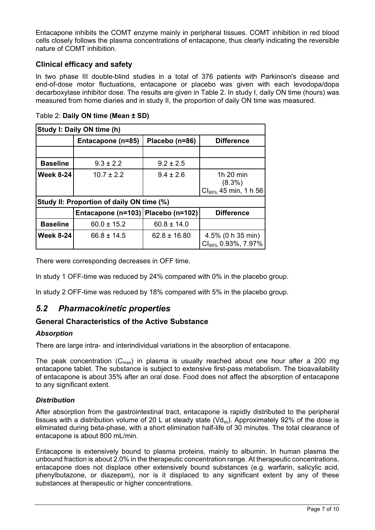Entacapone inhibits the COMT enzyme mainly in peripheral tissues. COMT inhibition in red blood cells closely follows the plasma concentrations of entacapone, thus clearly indicating the reversible nature of COMT inhibition.

### **Clinical efficacy and safety**

In two phase III double-blind studies in a total of 376 patients with Parkinson's disease and end-of-dose motor fluctuations, entacapone or placebo was given with each levodopa/dopa decarboxylase inhibitor dose. The results are given in Table 2. In study I, daily ON time (hours) was measured from home diaries and in study II, the proportion of daily ON time was measured.

| Study I: Daily ON time (h)                |                   |                |                                                      |
|-------------------------------------------|-------------------|----------------|------------------------------------------------------|
|                                           | Entacapone (n=85) | Placebo (n=86) | <b>Difference</b>                                    |
|                                           |                   |                |                                                      |
| <b>Baseline</b>                           | $9.3 \pm 2.2$     | $9.2 \pm 2.5$  |                                                      |
| <b>Week 8-24</b>                          | $10.7 \pm 2.2$    | $9.4 \pm 2.6$  | 1h 20 min<br>$(8.3\%)$<br>$Cl_{95\%}$ 45 min, 1 h 56 |
| Study II: Proportion of daily ON time (%) |                   |                |                                                      |

Table 2: **Daily ON time (Mean ± SD)**

| <b>Study II: Proportion of daily ON time (%)</b> |                                      |                  |                                                         |  |
|--------------------------------------------------|--------------------------------------|------------------|---------------------------------------------------------|--|
|                                                  | Entacapone (n=103)   Placebo (n=102) |                  | <b>Difference</b>                                       |  |
| <b>Baseline</b>                                  | $60.0 \pm 15.2$                      | $60.8 \pm 14.0$  |                                                         |  |
| <b>Week 8-24</b>                                 | $66.8 \pm 14.5$                      | $62.8 \pm 16.80$ | 4.5% (0 h 35 min)<br>$ $ Cl <sub>95%</sub> 0.93%, 7.97% |  |

There were corresponding decreases in OFF time.

In study 1 OFF-time was reduced by 24% compared with 0% in the placebo group.

In study 2 OFF-time was reduced by 18% compared with 5% in the placebo group.

## *5.2 Pharmacokinetic properties*

### **General Characteristics of the Active Substance**

#### *Absorption*

There are large intra- and interindividual variations in the absorption of entacapone.

The peak concentration  $(C_{max})$  in plasma is usually reached about one hour after a 200 mg entacapone tablet. The substance is subject to extensive first-pass metabolism. The bioavailability of entacapone is about 35% after an oral dose. Food does not affect the absorption of entacapone to any significant extent.

#### *Distribution*

After absorption from the gastrointestinal tract, entacapone is rapidly distributed to the peripheral tissues with a distribution volume of 20 L at steady state ( $Vds<sub>s</sub>$ ). Approximately 92% of the dose is eliminated during beta-phase, with a short elimination half-life of 30 minutes. The total clearance of entacapone is about 800 mL/min.

Entacapone is extensively bound to plasma proteins, mainly to albumin. In human plasma the unbound fraction is about 2.0% in the therapeutic concentration range. At therapeutic concentrations, entacapone does not displace other extensively bound substances (e.g. warfarin, salicylic acid, phenylbutazone, or diazepam), nor is it displaced to any significant extent by any of these substances at therapeutic or higher concentrations.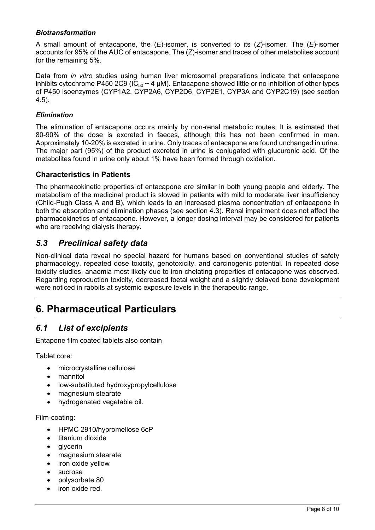### *Biotransformation*

A small amount of entacapone, the (*E*)-isomer, is converted to its (*Z*)-isomer. The (*E*)-isomer accounts for 95% of the AUC of entacapone. The (*Z*)-isomer and traces of other metabolites account for the remaining 5%.

Data from *in vitro* studies using human liver microsomal preparations indicate that entacapone inhibits cytochrome P450 2C9 (IC<sub>50</sub>  $\sim$  4 µM). Entacapone showed little or no inhibition of other types of P450 isoenzymes (CYP1A2, CYP2A6, CYP2D6, CYP2E1, CYP3A and CYP2C19) (see section 4.5).

### *Elimination*

The elimination of entacapone occurs mainly by non-renal metabolic routes. It is estimated that 80-90% of the dose is excreted in faeces, although this has not been confirmed in man. Approximately 10-20% is excreted in urine. Only traces of entacapone are found unchanged in urine. The major part (95%) of the product excreted in urine is conjugated with glucuronic acid. Of the metabolites found in urine only about 1% have been formed through oxidation.

### **Characteristics in Patients**

The pharmacokinetic properties of entacapone are similar in both young people and elderly. The metabolism of the medicinal product is slowed in patients with mild to moderate liver insufficiency (Child-Pugh Class A and B), which leads to an increased plasma concentration of entacapone in both the absorption and elimination phases (see section 4.3). Renal impairment does not affect the pharmacokinetics of entacapone. However, a longer dosing interval may be considered for patients who are receiving dialysis therapy.

## *5.3 Preclinical safety data*

Non-clinical data reveal no special hazard for humans based on conventional studies of safety pharmacology, repeated dose toxicity, genotoxicity, and carcinogenic potential. In repeated dose toxicity studies, anaemia most likely due to iron chelating properties of entacapone was observed. Regarding reproduction toxicity, decreased foetal weight and a slightly delayed bone development were noticed in rabbits at systemic exposure levels in the therapeutic range.

# **6. Pharmaceutical Particulars**

## *6.1 List of excipients*

Entapone film coated tablets also contain

Tablet core:

- microcrystalline cellulose
- mannitol
- low-substituted hydroxypropylcellulose
- magnesium stearate
- hydrogenated vegetable oil.

#### Film-coating:

- HPMC 2910/hypromellose 6cP
- titanium dioxide
- **glycerin**
- magnesium stearate
- iron oxide yellow
- sucrose
- polysorbate 80
- iron oxide red.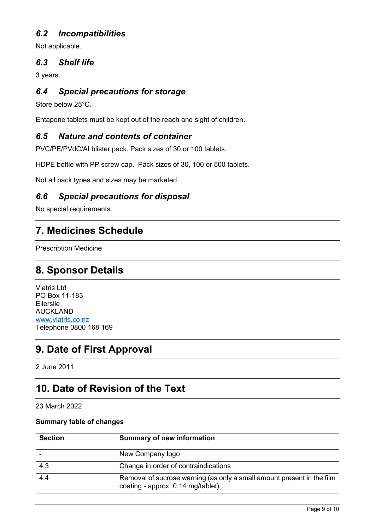# *6.2 Incompatibilities*

Not applicable.

## *6.3 Shelf life*

3 years.

# *6.4 Special precautions for storage*

Store below 25°C.

Entapone tablets must be kept out of the reach and sight of children.

# *6.5 Nature and contents of container*

PVC/PE/PVdC/AI blister pack. Pack sizes of 30 or 100 tablets.

HDPE bottle with PP screw cap. Pack sizes of 30, 100 or 500 tablets.

Not all pack types and sizes may be marketed.

## *6.6 Special precautions for disposal*

No special requirements.

# **7. Medicines Schedule**

Prescription Medicine

# **8. Sponsor Details**

Viatris Ltd PO Box 11-183 Ellerslie AUCKLAND [www.viatris.co.nz](http://www.viatris.co.nz) Telephone 0800 168 169

# **9. Date of First Approval**

2 June 2011

# **10. Date of Revision of the Text**

23 March 2022

#### **Summary table of changes**

| <b>Section</b> | <b>Summary of new information</b>                                                                           |
|----------------|-------------------------------------------------------------------------------------------------------------|
|                | New Company logo                                                                                            |
| 4.3            | Change in order of contraindications                                                                        |
| 4.4            | Removal of sucrose warning (as only a small amount present in the film<br>coating - approx. 0.14 mg/tablet) |